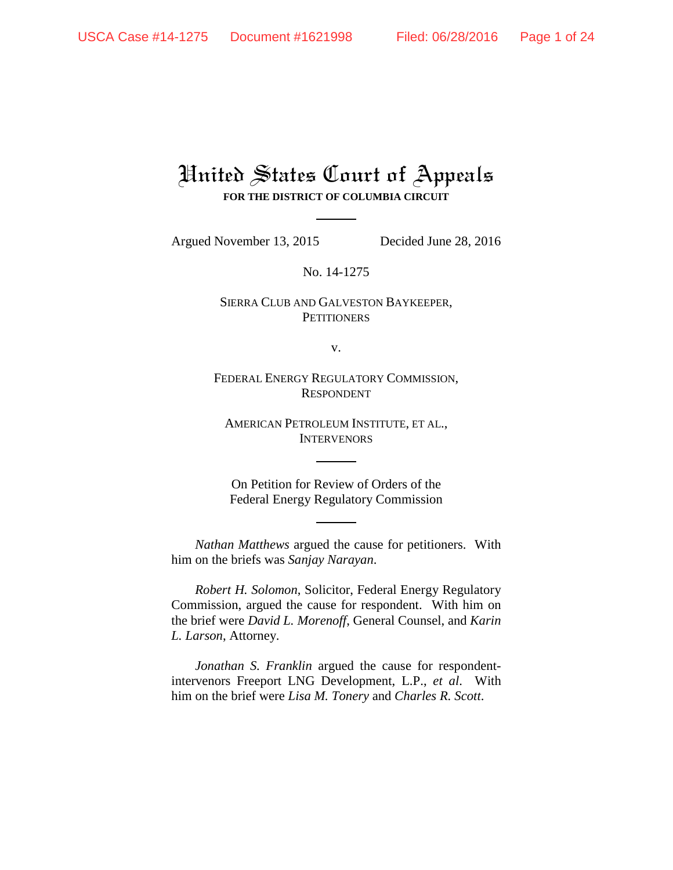# United States Court of Appeals **FOR THE DISTRICT OF COLUMBIA CIRCUIT**

Argued November 13, 2015 Decided June 28, 2016

No. 14-1275

## SIERRA CLUB AND GALVESTON BAYKEEPER, **PETITIONERS**

v.

FEDERAL ENERGY REGULATORY COMMISSION, RESPONDENT

AMERICAN PETROLEUM INSTITUTE, ET AL., INTERVENORS

On Petition for Review of Orders of the Federal Energy Regulatory Commission

*Nathan Matthews* argued the cause for petitioners. With him on the briefs was *Sanjay Narayan*.

*Robert H. Solomon*, Solicitor, Federal Energy Regulatory Commission, argued the cause for respondent. With him on the brief were *David L. Morenoff*, General Counsel, and *Karin L. Larson*, Attorney.

*Jonathan S. Franklin* argued the cause for respondentintervenors Freeport LNG Development, L.P., *et al*. With him on the brief were *Lisa M. Tonery* and *Charles R. Scott*.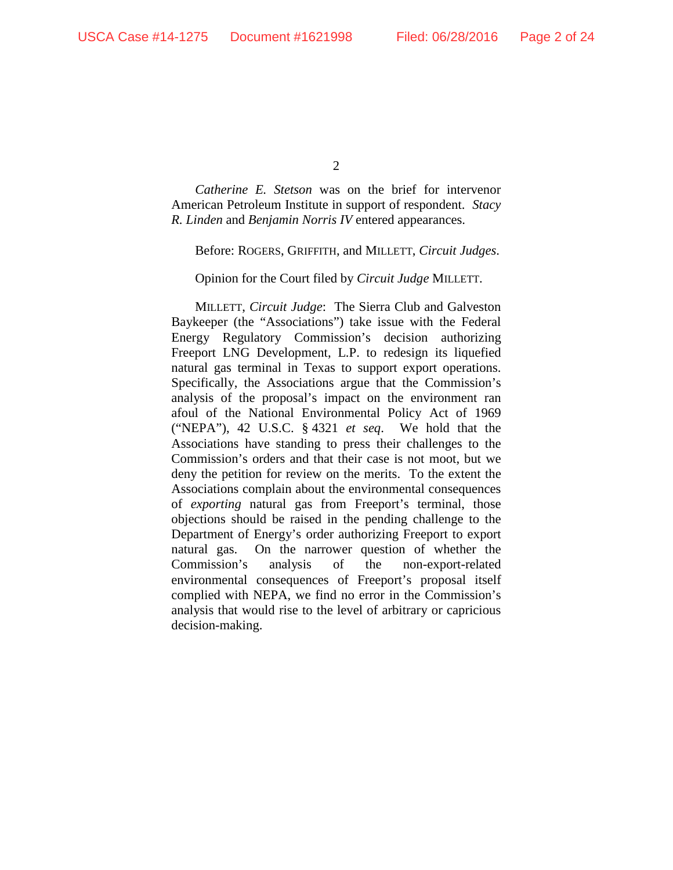$\mathcal{L}$ 

*Catherine E. Stetson* was on the brief for intervenor American Petroleum Institute in support of respondent. *Stacy R. Linden* and *Benjamin Norris IV* entered appearances.

Before: ROGERS, GRIFFITH, and MILLETT, *Circuit Judges*.

Opinion for the Court filed by *Circuit Judge* MILLETT.

MILLETT, *Circuit Judge*: The Sierra Club and Galveston Baykeeper (the "Associations") take issue with the Federal Energy Regulatory Commission's decision authorizing Freeport LNG Development, L.P. to redesign its liquefied natural gas terminal in Texas to support export operations. Specifically, the Associations argue that the Commission's analysis of the proposal's impact on the environment ran afoul of the National Environmental Policy Act of 1969 ("NEPA"), 42 U.S.C. § 4321 *et seq*. We hold that the Associations have standing to press their challenges to the Commission's orders and that their case is not moot, but we deny the petition for review on the merits. To the extent the Associations complain about the environmental consequences of *exporting* natural gas from Freeport's terminal, those objections should be raised in the pending challenge to the Department of Energy's order authorizing Freeport to export natural gas. On the narrower question of whether the Commission's analysis of the non-export-related environmental consequences of Freeport's proposal itself complied with NEPA, we find no error in the Commission's analysis that would rise to the level of arbitrary or capricious decision-making.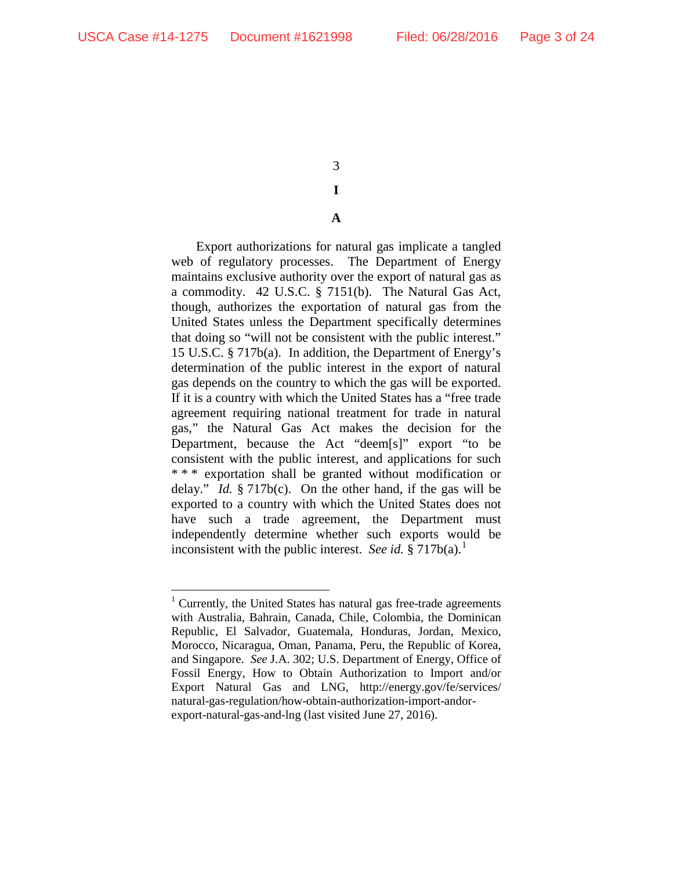3 **I**

## **A**

Export authorizations for natural gas implicate a tangled web of regulatory processes. The Department of Energy maintains exclusive authority over the export of natural gas as a commodity. 42 U.S.C. § 7151(b). The Natural Gas Act, though, authorizes the exportation of natural gas from the United States unless the Department specifically determines that doing so "will not be consistent with the public interest." 15 U.S.C. § 717b(a). In addition, the Department of Energy's determination of the public interest in the export of natural gas depends on the country to which the gas will be exported. If it is a country with which the United States has a "free trade agreement requiring national treatment for trade in natural gas," the Natural Gas Act makes the decision for the Department, because the Act "deem[s]" export "to be consistent with the public interest, and applications for such \* \* \* exportation shall be granted without modification or delay." *Id.* § 717b(c). On the other hand, if the gas will be exported to a country with which the United States does not have such a trade agreement, the Department must independently determine whether such exports would be inconsistent with the public interest. *See id.*  $\S 717b(a)$ .

 $1$  Currently, the United States has natural gas free-trade agreements with Australia, Bahrain, Canada, Chile, Colombia, the Dominican Republic, El Salvador, Guatemala, Honduras, Jordan, Mexico, Morocco, Nicaragua, Oman, Panama, Peru, the Republic of Korea, and Singapore. *See* J.A. 302; U.S. Department of Energy, Office of Fossil Energy, How to Obtain Authorization to Import and/or Export Natural Gas and LNG, http://energy.gov/fe/services/ natural-gas-regulation/how-obtain-authorization-import-andorexport-natural-gas-and-lng (last visited June 27, 2016).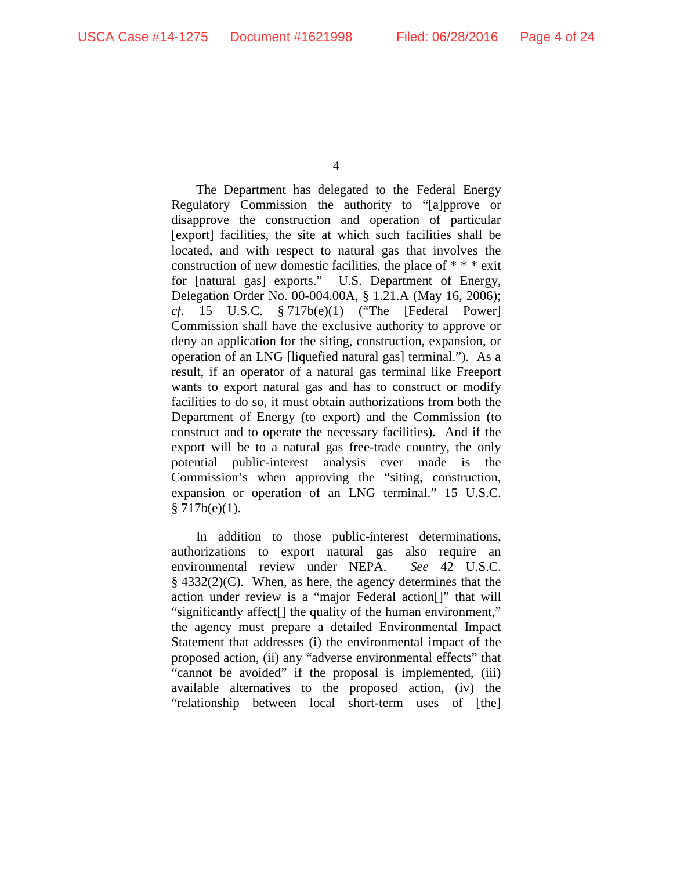The Department has delegated to the Federal Energy Regulatory Commission the authority to "[a]pprove or disapprove the construction and operation of particular [export] facilities, the site at which such facilities shall be located, and with respect to natural gas that involves the construction of new domestic facilities, the place of \* \* \* exit for [natural gas] exports." U.S. Department of Energy, Delegation Order No. 00-004.00A, § 1.21.A (May 16, 2006); *cf.* 15 U.S.C. § 717b(e)(1) ("The [Federal Power] Commission shall have the exclusive authority to approve or deny an application for the siting, construction, expansion, or operation of an LNG [liquefied natural gas] terminal."). As a result, if an operator of a natural gas terminal like Freeport wants to export natural gas and has to construct or modify facilities to do so, it must obtain authorizations from both the Department of Energy (to export) and the Commission (to construct and to operate the necessary facilities). And if the export will be to a natural gas free-trade country, the only potential public-interest analysis ever made is the Commission's when approving the "siting, construction, expansion or operation of an LNG terminal." 15 U.S.C.  $$717b(e)(1).$ 

In addition to those public-interest determinations, authorizations to export natural gas also require an environmental review under NEPA. *See* 42 U.S.C. § 4332(2)(C). When, as here, the agency determines that the action under review is a "major Federal action[]" that will "significantly affect[] the quality of the human environment," the agency must prepare a detailed Environmental Impact Statement that addresses (i) the environmental impact of the proposed action, (ii) any "adverse environmental effects" that "cannot be avoided" if the proposal is implemented, (iii) available alternatives to the proposed action, (iv) the "relationship between local short-term uses of [the]

<sup>4</sup>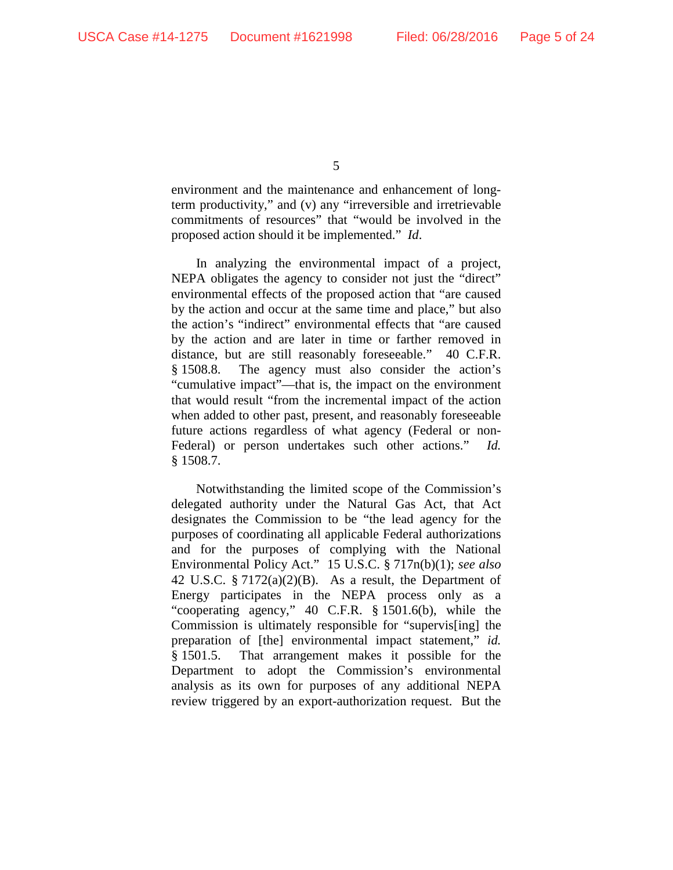environment and the maintenance and enhancement of longterm productivity," and (v) any "irreversible and irretrievable commitments of resources" that "would be involved in the proposed action should it be implemented." *Id*.

In analyzing the environmental impact of a project, NEPA obligates the agency to consider not just the "direct" environmental effects of the proposed action that "are caused by the action and occur at the same time and place," but also the action's "indirect" environmental effects that "are caused by the action and are later in time or farther removed in distance, but are still reasonably foreseeable." 40 C.F.R. § 1508.8. The agency must also consider the action's "cumulative impact"—that is, the impact on the environment that would result "from the incremental impact of the action when added to other past, present, and reasonably foreseeable future actions regardless of what agency (Federal or non-Federal) or person undertakes such other actions." *Id.* § 1508.7.

Notwithstanding the limited scope of the Commission's delegated authority under the Natural Gas Act, that Act designates the Commission to be "the lead agency for the purposes of coordinating all applicable Federal authorizations and for the purposes of complying with the National Environmental Policy Act." 15 U.S.C. § 717n(b)(1); *see also*  42 U.S.C.  $\S 7172(a)(2)(B)$ . As a result, the Department of Energy participates in the NEPA process only as a "cooperating agency," 40 C.F.R. § 1501.6(b), while the Commission is ultimately responsible for "supervis[ing] the preparation of [the] environmental impact statement," *id.* § 1501.5. That arrangement makes it possible for the Department to adopt the Commission's environmental analysis as its own for purposes of any additional NEPA review triggered by an export-authorization request. But the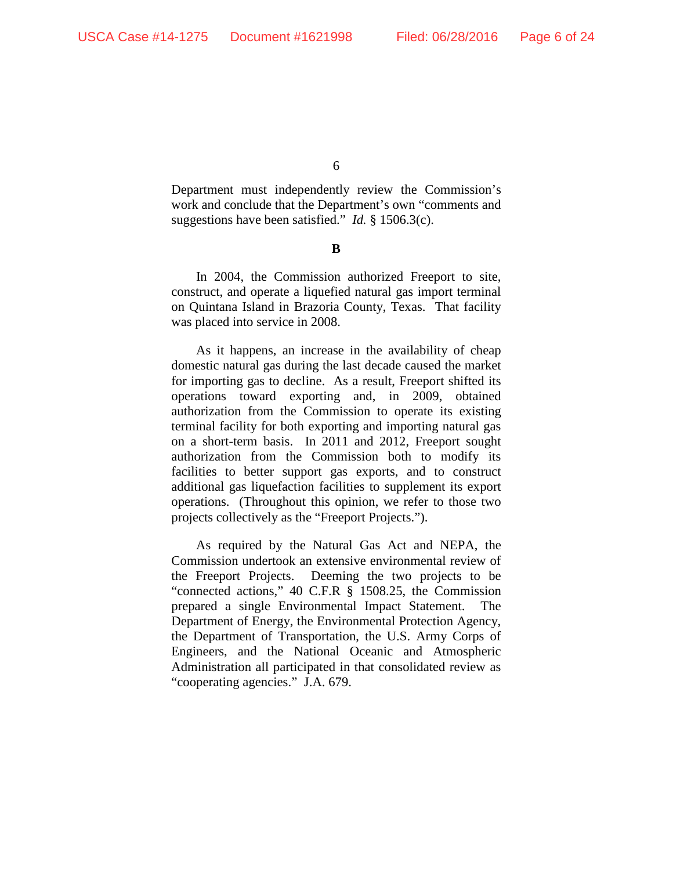Department must independently review the Commission's work and conclude that the Department's own "comments and suggestions have been satisfied." *Id.* § 1506.3(c).

#### **B**

In 2004, the Commission authorized Freeport to site, construct, and operate a liquefied natural gas import terminal on Quintana Island in Brazoria County, Texas. That facility was placed into service in 2008.

As it happens, an increase in the availability of cheap domestic natural gas during the last decade caused the market for importing gas to decline. As a result, Freeport shifted its operations toward exporting and, in 2009, obtained authorization from the Commission to operate its existing terminal facility for both exporting and importing natural gas on a short-term basis. In 2011 and 2012, Freeport sought authorization from the Commission both to modify its facilities to better support gas exports, and to construct additional gas liquefaction facilities to supplement its export operations. (Throughout this opinion, we refer to those two projects collectively as the "Freeport Projects.").

As required by the Natural Gas Act and NEPA, the Commission undertook an extensive environmental review of the Freeport Projects. Deeming the two projects to be "connected actions," 40 C.F.R § 1508.25, the Commission prepared a single Environmental Impact Statement. The Department of Energy, the Environmental Protection Agency, the Department of Transportation, the U.S. Army Corps of Engineers, and the National Oceanic and Atmospheric Administration all participated in that consolidated review as "cooperating agencies." J.A. 679.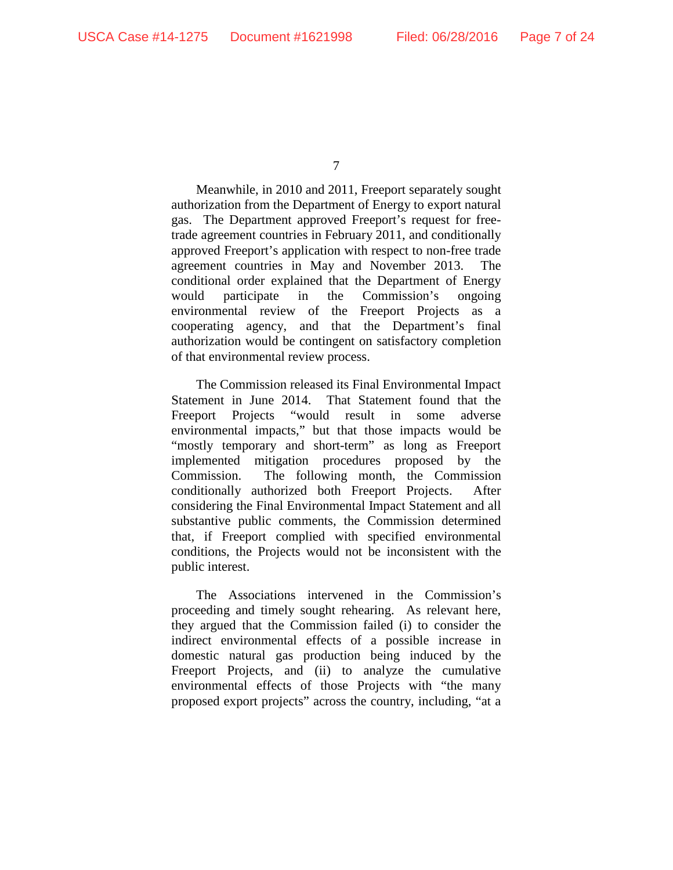Meanwhile, in 2010 and 2011, Freeport separately sought authorization from the Department of Energy to export natural gas. The Department approved Freeport's request for freetrade agreement countries in February 2011, and conditionally approved Freeport's application with respect to non-free trade agreement countries in May and November 2013. The conditional order explained that the Department of Energy would participate in the Commission's ongoing environmental review of the Freeport Projects as a cooperating agency, and that the Department's final authorization would be contingent on satisfactory completion of that environmental review process.

The Commission released its Final Environmental Impact Statement in June 2014. That Statement found that the Freeport Projects "would result in some adverse environmental impacts," but that those impacts would be "mostly temporary and short-term" as long as Freeport implemented mitigation procedures proposed by the Commission.The following month, the Commission conditionally authorized both Freeport Projects. After considering the Final Environmental Impact Statement and all substantive public comments, the Commission determined that, if Freeport complied with specified environmental conditions, the Projects would not be inconsistent with the public interest.

The Associations intervened in the Commission's proceeding and timely sought rehearing. As relevant here, they argued that the Commission failed (i) to consider the indirect environmental effects of a possible increase in domestic natural gas production being induced by the Freeport Projects, and (ii) to analyze the cumulative environmental effects of those Projects with "the many proposed export projects" across the country, including, "at a

<sup>7</sup>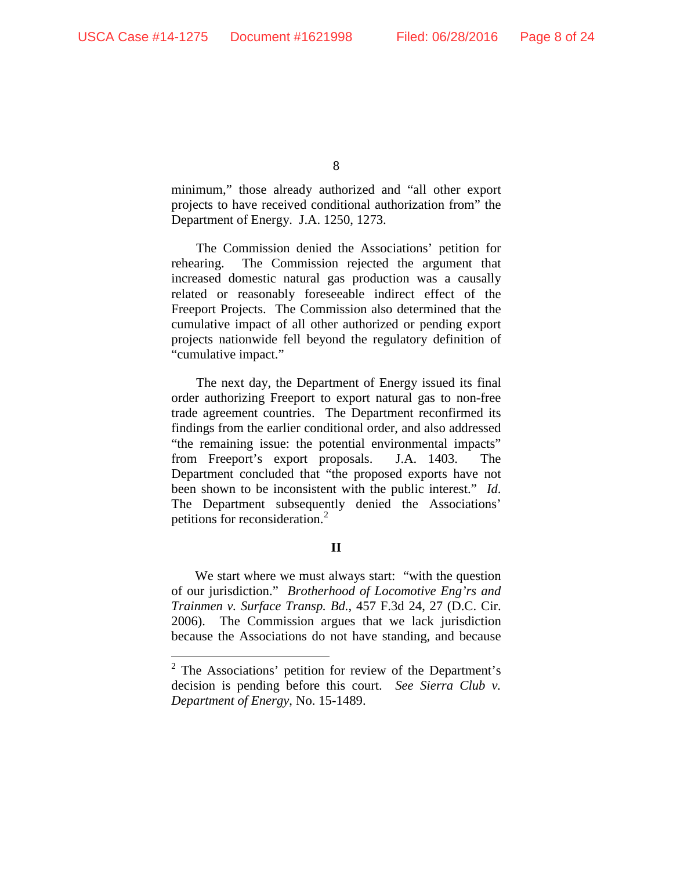minimum," those already authorized and "all other export projects to have received conditional authorization from" the Department of Energy. J.A. 1250, 1273.

The Commission denied the Associations' petition for rehearing. The Commission rejected the argument that increased domestic natural gas production was a causally related or reasonably foreseeable indirect effect of the Freeport Projects. The Commission also determined that the cumulative impact of all other authorized or pending export projects nationwide fell beyond the regulatory definition of "cumulative impact."

The next day, the Department of Energy issued its final order authorizing Freeport to export natural gas to non-free trade agreement countries. The Department reconfirmed its findings from the earlier conditional order, and also addressed "the remaining issue: the potential environmental impacts" from Freeport's export proposals. J.A. 1403. The Department concluded that "the proposed exports have not been shown to be inconsistent with the public interest." *Id*. The Department subsequently denied the Associations' petitions for reconsideration.<sup>2</sup>

#### **II**

We start where we must always start: "with the question of our jurisdiction." *Brotherhood of Locomotive Eng'rs and Trainmen v. Surface Transp. Bd.*, 457 F.3d 24, 27 (D.C. Cir. 2006). The Commission argues that we lack jurisdiction because the Associations do not have standing, and because

<sup>&</sup>lt;sup>2</sup> The Associations' petition for review of the Department's decision is pending before this court. *See Sierra Club v. Department of Energy*, No. 15-1489.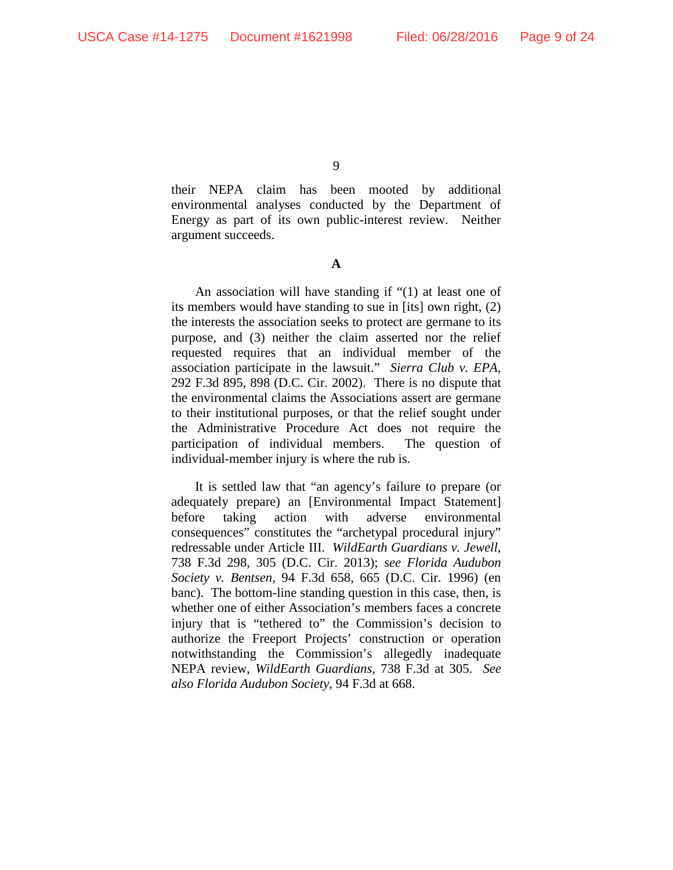their NEPA claim has been mooted by additional environmental analyses conducted by the Department of Energy as part of its own public-interest review. Neither argument succeeds.

**A**

An association will have standing if "(1) at least one of its members would have standing to sue in [its] own right, (2) the interests the association seeks to protect are germane to its purpose, and (3) neither the claim asserted nor the relief requested requires that an individual member of the association participate in the lawsuit." *Sierra Club v. EPA*, 292 F.3d 895, 898 (D.C. Cir. 2002). There is no dispute that the environmental claims the Associations assert are germane to their institutional purposes, or that the relief sought under the Administrative Procedure Act does not require the participation of individual members. The question of individual-member injury is where the rub is.

It is settled law that "an agency's failure to prepare (or adequately prepare) an [Environmental Impact Statement] before taking action with adverse environmental consequences" constitutes the "archetypal procedural injury" redressable under Article III. *WildEarth Guardians v. Jewell*, 738 F.3d 298, 305 (D.C. Cir. 2013); *see Florida Audubon Society v. Bentsen*, 94 F.3d 658, 665 (D.C. Cir. 1996) (en banc). The bottom-line standing question in this case, then, is whether one of either Association's members faces a concrete injury that is "tethered to" the Commission's decision to authorize the Freeport Projects' construction or operation notwithstanding the Commission's allegedly inadequate NEPA review, *WildEarth Guardians*, 738 F.3d at 305. *See also Florida Audubon Society*, 94 F.3d at 668.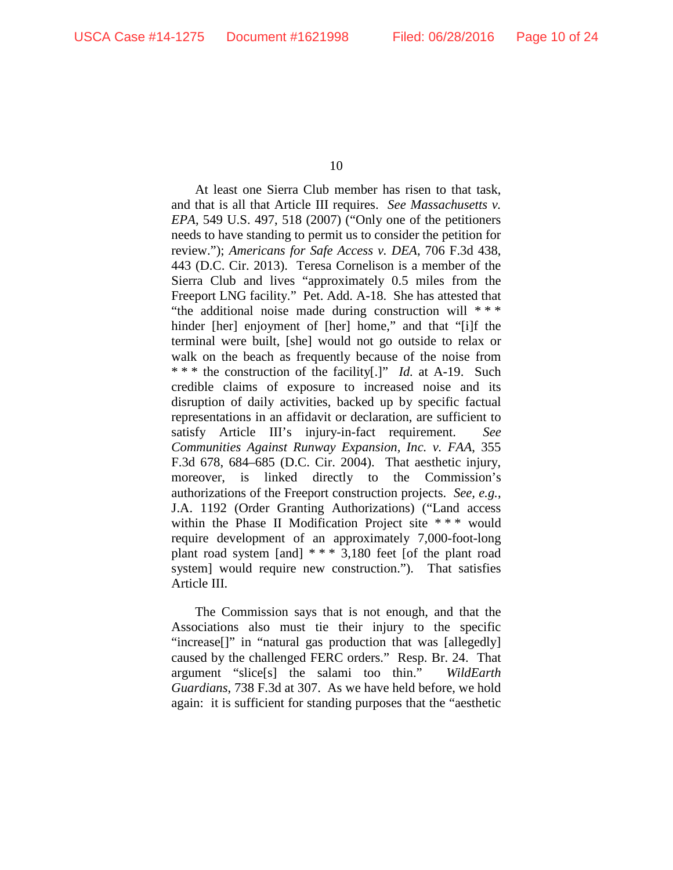At least one Sierra Club member has risen to that task, and that is all that Article III requires. *See Massachusetts v. EPA*, 549 U.S. 497, 518 (2007) ("Only one of the petitioners needs to have standing to permit us to consider the petition for review."); *Americans for Safe Access v. DEA*, 706 F.3d 438, 443 (D.C. Cir. 2013). Teresa Cornelison is a member of the Sierra Club and lives "approximately 0.5 miles from the Freeport LNG facility." Pet. Add. A-18. She has attested that "the additional noise made during construction will  $***$ hinder [her] enjoyment of [her] home," and that "[i]f the terminal were built, [she] would not go outside to relax or walk on the beach as frequently because of the noise from \* \* \* the construction of the facility[.]" *Id.* at A-19.Such credible claims of exposure to increased noise and its disruption of daily activities, backed up by specific factual representations in an affidavit or declaration, are sufficient to satisfy Article III's injury-in-fact requirement. *See Communities Against Runway Expansion, Inc. v. FAA*, 355 F.3d 678, 684–685 (D.C. Cir. 2004). That aesthetic injury, moreover, is linked directly to the Commission's authorizations of the Freeport construction projects. *See, e.g.*, J.A. 1192 (Order Granting Authorizations) ("Land access within the Phase II Modification Project site \*\*\* would require development of an approximately 7,000-foot-long plant road system [and] \* \* \* 3,180 feet [of the plant road system] would require new construction."). That satisfies Article III.

The Commission says that is not enough, and that the Associations also must tie their injury to the specific "increase[]" in "natural gas production that was [allegedly] caused by the challenged FERC orders." Resp. Br. 24. That argument "slice[s] the salami too thin." *WildEarth Guardians*, 738 F.3d at 307. As we have held before, we hold again: it is sufficient for standing purposes that the "aesthetic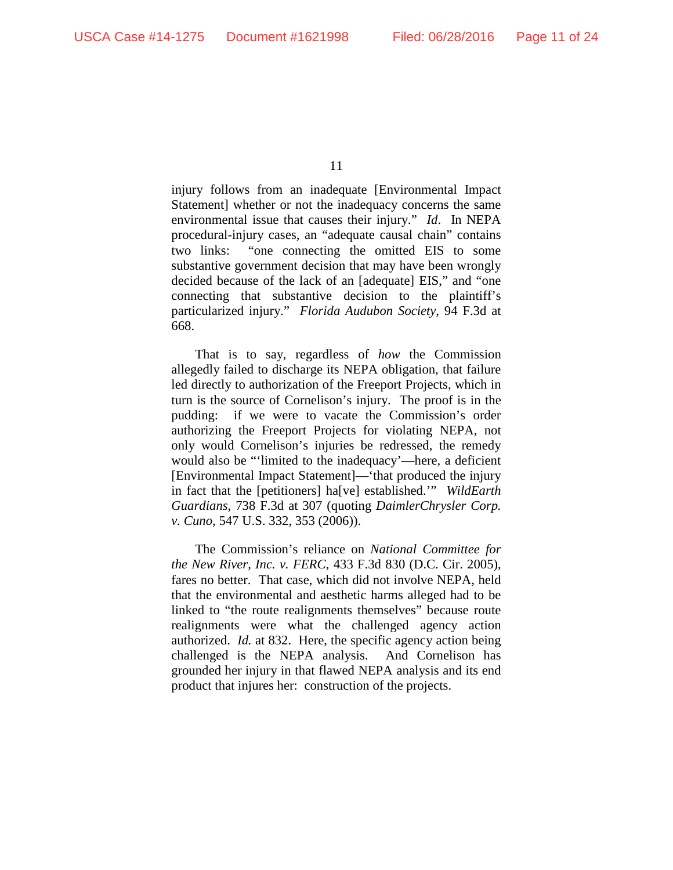injury follows from an inadequate [Environmental Impact Statement] whether or not the inadequacy concerns the same environmental issue that causes their injury." *Id*. In NEPA procedural-injury cases, an "adequate causal chain" contains two links: "one connecting the omitted EIS to some substantive government decision that may have been wrongly decided because of the lack of an [adequate] EIS," and "one connecting that substantive decision to the plaintiff's particularized injury." *Florida Audubon Society*, 94 F.3d at 668.

That is to say, regardless of *how* the Commission allegedly failed to discharge its NEPA obligation, that failure led directly to authorization of the Freeport Projects, which in turn is the source of Cornelison's injury. The proof is in the pudding: if we were to vacate the Commission's order authorizing the Freeport Projects for violating NEPA, not only would Cornelison's injuries be redressed, the remedy would also be "'limited to the inadequacy'—here, a deficient [Environmental Impact Statement]—'that produced the injury in fact that the [petitioners] ha[ve] established.'" *WildEarth Guardians*, 738 F.3d at 307 (quoting *DaimlerChrysler Corp. v. Cuno*, 547 U.S. 332, 353 (2006)).

The Commission's reliance on *National Committee for the New River, Inc. v. FERC*, 433 F.3d 830 (D.C. Cir. 2005), fares no better. That case, which did not involve NEPA, held that the environmental and aesthetic harms alleged had to be linked to "the route realignments themselves" because route realignments were what the challenged agency action authorized. *Id.* at 832. Here, the specific agency action being challenged is the NEPA analysis. And Cornelison has grounded her injury in that flawed NEPA analysis and its end product that injures her: construction of the projects.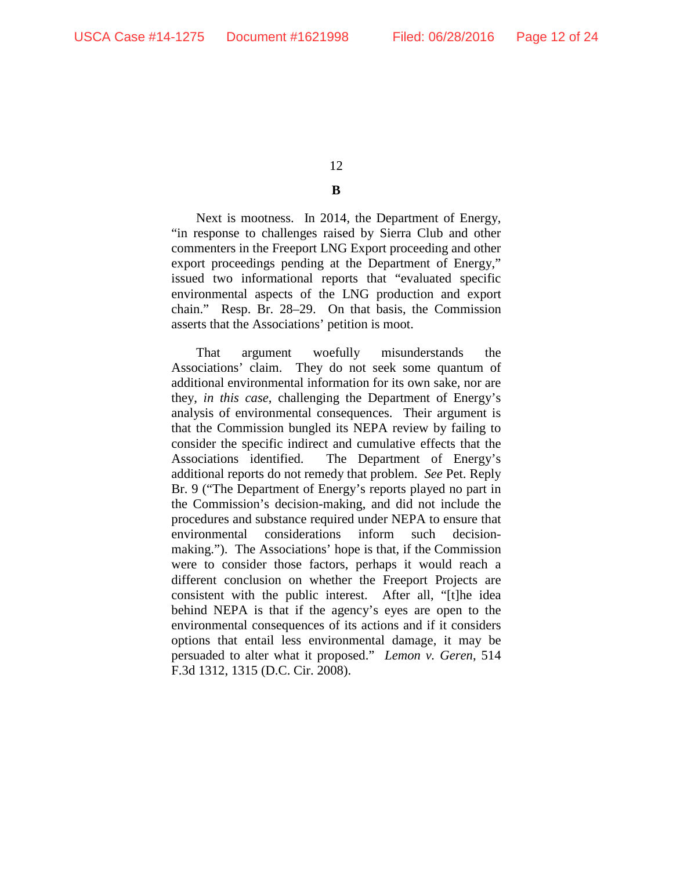# **B**

Next is mootness. In 2014, the Department of Energy, "in response to challenges raised by Sierra Club and other commenters in the Freeport LNG Export proceeding and other export proceedings pending at the Department of Energy," issued two informational reports that "evaluated specific environmental aspects of the LNG production and export chain." Resp. Br. 28–29. On that basis, the Commission asserts that the Associations' petition is moot.

That argument woefully misunderstands the Associations' claim. They do not seek some quantum of additional environmental information for its own sake, nor are they, *in this case*, challenging the Department of Energy's analysis of environmental consequences. Their argument is that the Commission bungled its NEPA review by failing to consider the specific indirect and cumulative effects that the Associations identified. The Department of Energy's additional reports do not remedy that problem. *See* Pet. Reply Br. 9 ("The Department of Energy's reports played no part in the Commission's decision-making, and did not include the procedures and substance required under NEPA to ensure that environmental considerations inform such decisionmaking."). The Associations' hope is that, if the Commission were to consider those factors, perhaps it would reach a different conclusion on whether the Freeport Projects are consistent with the public interest. After all, "[t]he idea behind NEPA is that if the agency's eyes are open to the environmental consequences of its actions and if it considers options that entail less environmental damage, it may be persuaded to alter what it proposed." *Lemon v. Geren*, 514 F.3d 1312, 1315 (D.C. Cir. 2008).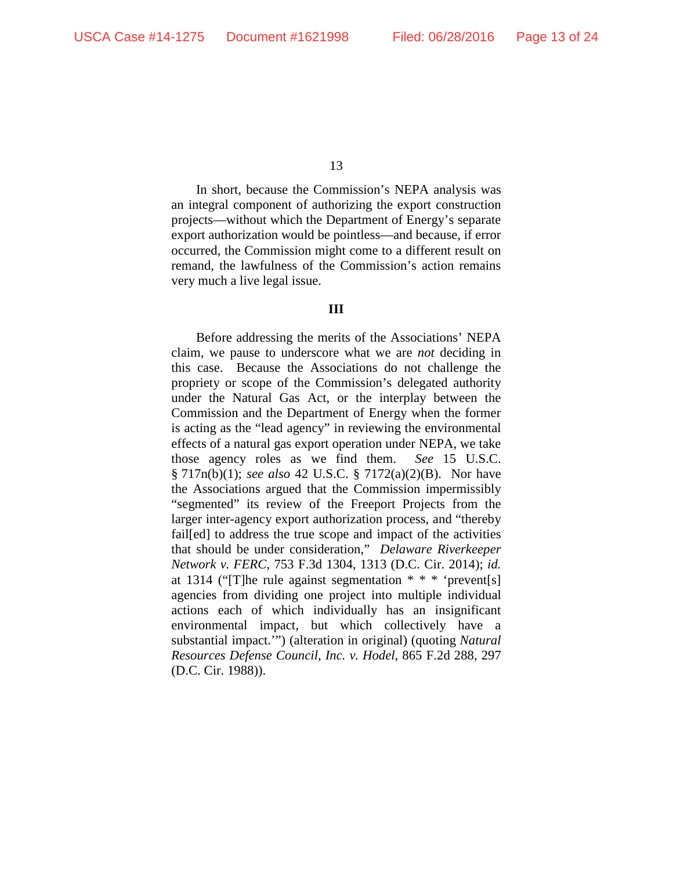In short, because the Commission's NEPA analysis was an integral component of authorizing the export construction projects—without which the Department of Energy's separate export authorization would be pointless—and because, if error occurred, the Commission might come to a different result on remand, the lawfulness of the Commission's action remains very much a live legal issue.

#### **III**

Before addressing the merits of the Associations' NEPA claim, we pause to underscore what we are *not* deciding in this case. Because the Associations do not challenge the propriety or scope of the Commission's delegated authority under the Natural Gas Act, or the interplay between the Commission and the Department of Energy when the former is acting as the "lead agency" in reviewing the environmental effects of a natural gas export operation under NEPA, we take those agency roles as we find them. *See* 15 U.S.C. § 717n(b)(1); *see also* 42 U.S.C. § 7172(a)(2)(B). Nor have the Associations argued that the Commission impermissibly "segmented" its review of the Freeport Projects from the larger inter-agency export authorization process, and "thereby fail[ed] to address the true scope and impact of the activities that should be under consideration," *Delaware Riverkeeper Network v. FERC*, 753 F.3d 1304, 1313 (D.C. Cir. 2014); *id.* at 1314 ("[T]he rule against segmentation \* \* \* 'prevent[s] agencies from dividing one project into multiple individual actions each of which individually has an insignificant environmental impact, but which collectively have a substantial impact.'") (alteration in original) (quoting *Natural Resources Defense Council, Inc. v. Hodel*, 865 F.2d 288, 297 (D.C. Cir. 1988)).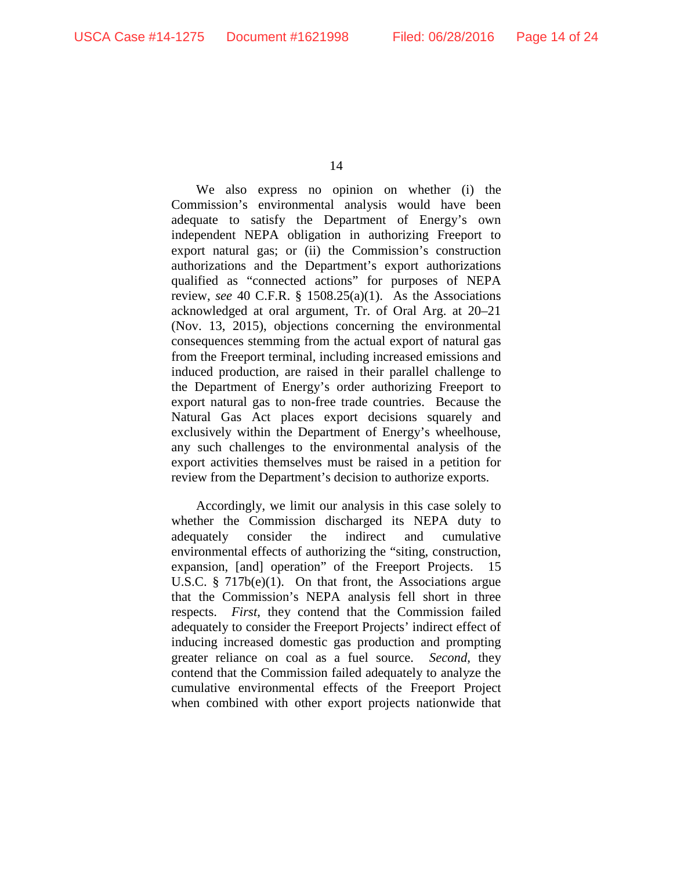We also express no opinion on whether (i) the Commission's environmental analysis would have been adequate to satisfy the Department of Energy's own independent NEPA obligation in authorizing Freeport to export natural gas; or (ii) the Commission's construction authorizations and the Department's export authorizations qualified as "connected actions" for purposes of NEPA review, *see* 40 C.F.R. § 1508.25(a)(1). As the Associations acknowledged at oral argument, Tr. of Oral Arg. at 20–21 (Nov. 13, 2015), objections concerning the environmental consequences stemming from the actual export of natural gas from the Freeport terminal, including increased emissions and induced production, are raised in their parallel challenge to the Department of Energy's order authorizing Freeport to export natural gas to non-free trade countries. Because the Natural Gas Act places export decisions squarely and exclusively within the Department of Energy's wheelhouse, any such challenges to the environmental analysis of the export activities themselves must be raised in a petition for review from the Department's decision to authorize exports.

Accordingly, we limit our analysis in this case solely to whether the Commission discharged its NEPA duty to adequately consider the indirect and cumulative environmental effects of authorizing the "siting, construction, expansion, [and] operation" of the Freeport Projects. 15 U.S.C. § 717b(e)(1). On that front, the Associations argue that the Commission's NEPA analysis fell short in three respects. *First*, they contend that the Commission failed adequately to consider the Freeport Projects' indirect effect of inducing increased domestic gas production and prompting greater reliance on coal as a fuel source. *Second*, they contend that the Commission failed adequately to analyze the cumulative environmental effects of the Freeport Project when combined with other export projects nationwide that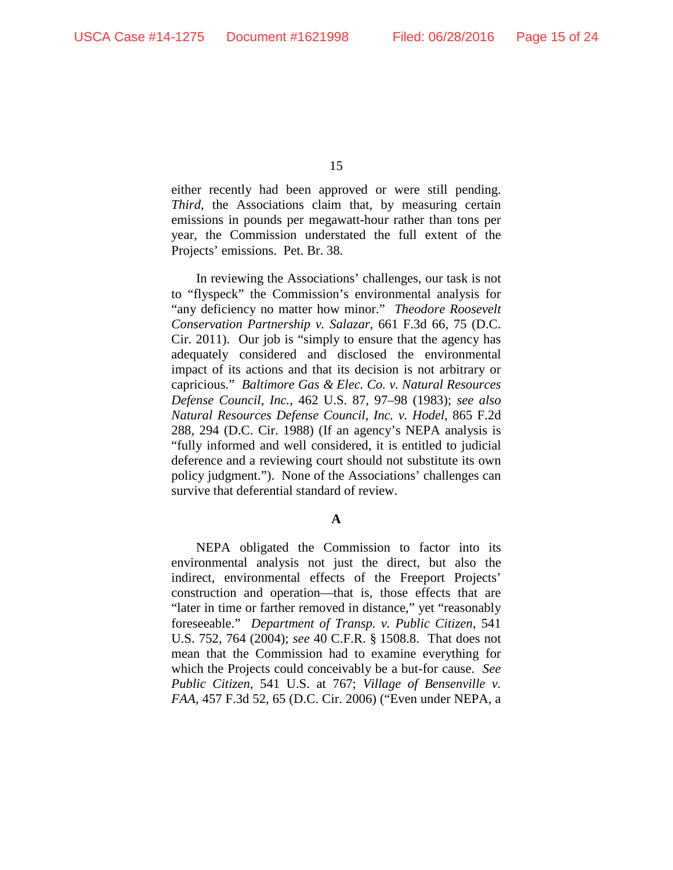either recently had been approved or were still pending. *Third*, the Associations claim that, by measuring certain emissions in pounds per megawatt-hour rather than tons per year, the Commission understated the full extent of the Projects' emissions. Pet. Br. 38.

In reviewing the Associations' challenges, our task is not to "flyspeck" the Commission's environmental analysis for "any deficiency no matter how minor." *Theodore Roosevelt Conservation Partnership v. Salazar*, 661 F.3d 66, 75 (D.C. Cir. 2011). Our job is "simply to ensure that the agency has adequately considered and disclosed the environmental impact of its actions and that its decision is not arbitrary or capricious." *Baltimore Gas & Elec. Co. v. Natural Resources Defense Council, Inc.*, 462 U.S. 87, 97–98 (1983); *see also Natural Resources Defense Council, Inc. v. Hodel*, 865 F.2d 288, 294 (D.C. Cir. 1988) (If an agency's NEPA analysis is "fully informed and well considered, it is entitled to judicial deference and a reviewing court should not substitute its own policy judgment."). None of the Associations' challenges can survive that deferential standard of review.

**A**

NEPA obligated the Commission to factor into its environmental analysis not just the direct, but also the indirect, environmental effects of the Freeport Projects' construction and operation—that is, those effects that are "later in time or farther removed in distance," yet "reasonably foreseeable." *Department of Transp. v. Public Citizen*, 541 U.S. 752, 764 (2004); *see* 40 C.F.R. § 1508.8. That does not mean that the Commission had to examine everything for which the Projects could conceivably be a but-for cause. *See Public Citizen*, 541 U.S. at 767; *Village of Bensenville v. FAA*, 457 F.3d 52, 65 (D.C. Cir. 2006) ("Even under NEPA, a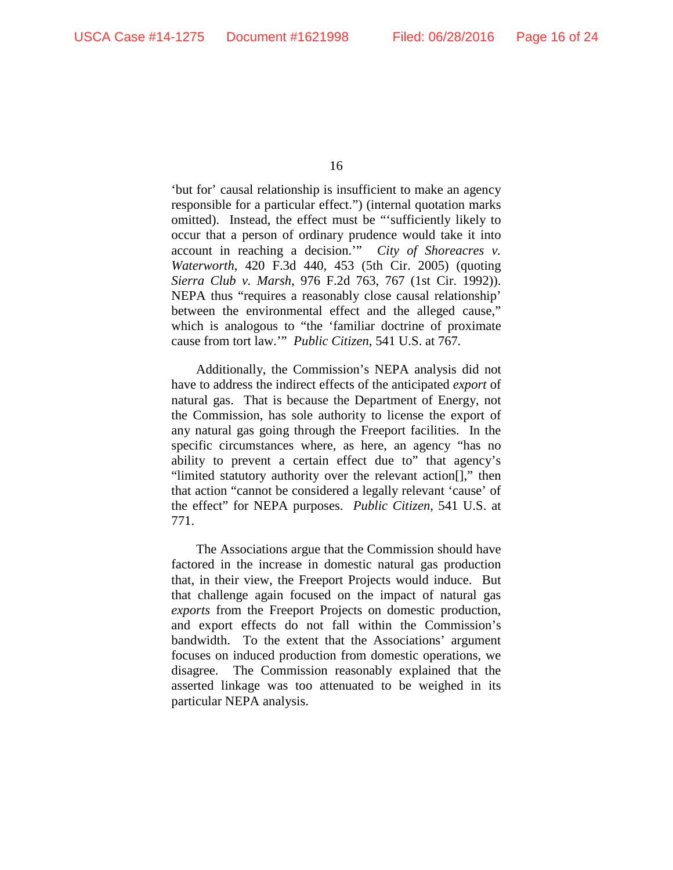'but for' causal relationship is insufficient to make an agency responsible for a particular effect.") (internal quotation marks omitted). Instead, the effect must be "'sufficiently likely to occur that a person of ordinary prudence would take it into account in reaching a decision.'" *City of Shoreacres v. Waterworth*, 420 F.3d 440, 453 (5th Cir. 2005) (quoting *Sierra Club v. Marsh*, 976 F.2d 763, 767 (1st Cir. 1992)). NEPA thus "requires a reasonably close causal relationship' between the environmental effect and the alleged cause," which is analogous to "the 'familiar doctrine of proximate cause from tort law.'" *Public Citizen*, 541 U.S. at 767*.*

Additionally, the Commission's NEPA analysis did not have to address the indirect effects of the anticipated *export* of natural gas. That is because the Department of Energy, not the Commission, has sole authority to license the export of any natural gas going through the Freeport facilities. In the specific circumstances where, as here, an agency "has no ability to prevent a certain effect due to" that agency's "limited statutory authority over the relevant action[]," then that action "cannot be considered a legally relevant 'cause' of the effect" for NEPA purposes. *Public Citizen*, 541 U.S. at 771.

The Associations argue that the Commission should have factored in the increase in domestic natural gas production that, in their view, the Freeport Projects would induce. But that challenge again focused on the impact of natural gas *exports* from the Freeport Projects on domestic production, and export effects do not fall within the Commission's bandwidth. To the extent that the Associations' argument focuses on induced production from domestic operations, we disagree. The Commission reasonably explained that the asserted linkage was too attenuated to be weighed in its particular NEPA analysis.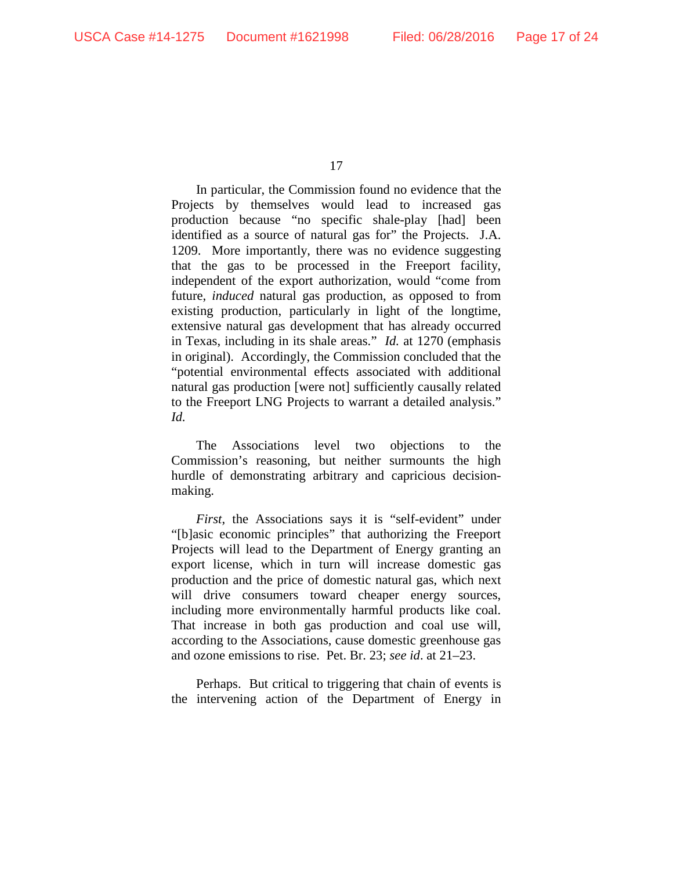In particular, the Commission found no evidence that the Projects by themselves would lead to increased gas production because "no specific shale-play [had] been identified as a source of natural gas for" the Projects. J.A. 1209. More importantly, there was no evidence suggesting that the gas to be processed in the Freeport facility, independent of the export authorization, would "come from future, *induced* natural gas production, as opposed to from existing production, particularly in light of the longtime, extensive natural gas development that has already occurred in Texas, including in its shale areas." *Id.* at 1270 (emphasis in original). Accordingly, the Commission concluded that the "potential environmental effects associated with additional natural gas production [were not] sufficiently causally related to the Freeport LNG Projects to warrant a detailed analysis." *Id.*

The Associations level two objections to the Commission's reasoning, but neither surmounts the high hurdle of demonstrating arbitrary and capricious decisionmaking.

*First*, the Associations says it is "self-evident" under "[b]asic economic principles" that authorizing the Freeport Projects will lead to the Department of Energy granting an export license, which in turn will increase domestic gas production and the price of domestic natural gas, which next will drive consumers toward cheaper energy sources, including more environmentally harmful products like coal. That increase in both gas production and coal use will, according to the Associations, cause domestic greenhouse gas and ozone emissions to rise. Pet. Br. 23; *see id*. at 21–23.

Perhaps. But critical to triggering that chain of events is the intervening action of the Department of Energy in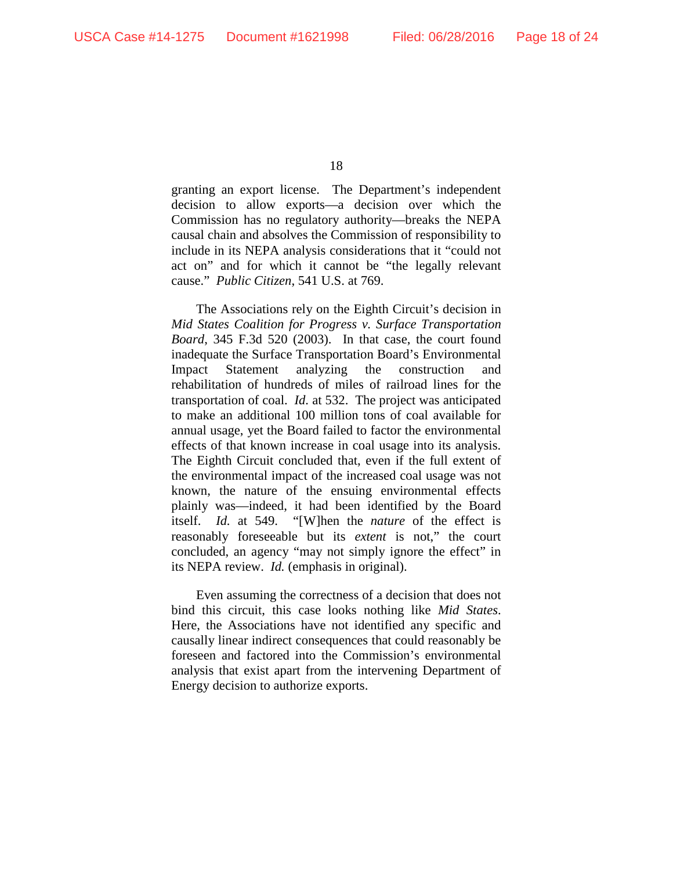granting an export license. The Department's independent decision to allow exports—a decision over which the Commission has no regulatory authority—breaks the NEPA causal chain and absolves the Commission of responsibility to include in its NEPA analysis considerations that it "could not act on" and for which it cannot be "the legally relevant cause." *Public Citizen*, 541 U.S. at 769.

The Associations rely on the Eighth Circuit's decision in *Mid States Coalition for Progress v. Surface Transportation Board*, 345 F.3d 520 (2003). In that case, the court found inadequate the Surface Transportation Board's Environmental Impact Statement analyzing the construction and rehabilitation of hundreds of miles of railroad lines for the transportation of coal. *Id.* at 532. The project was anticipated to make an additional 100 million tons of coal available for annual usage, yet the Board failed to factor the environmental effects of that known increase in coal usage into its analysis. The Eighth Circuit concluded that, even if the full extent of the environmental impact of the increased coal usage was not known, the nature of the ensuing environmental effects plainly was—indeed, it had been identified by the Board itself. *Id.* at 549. "[W]hen the *nature* of the effect is reasonably foreseeable but its *extent* is not," the court concluded, an agency "may not simply ignore the effect" in its NEPA review. *Id.* (emphasis in original).

Even assuming the correctness of a decision that does not bind this circuit, this case looks nothing like *Mid States*. Here, the Associations have not identified any specific and causally linear indirect consequences that could reasonably be foreseen and factored into the Commission's environmental analysis that exist apart from the intervening Department of Energy decision to authorize exports.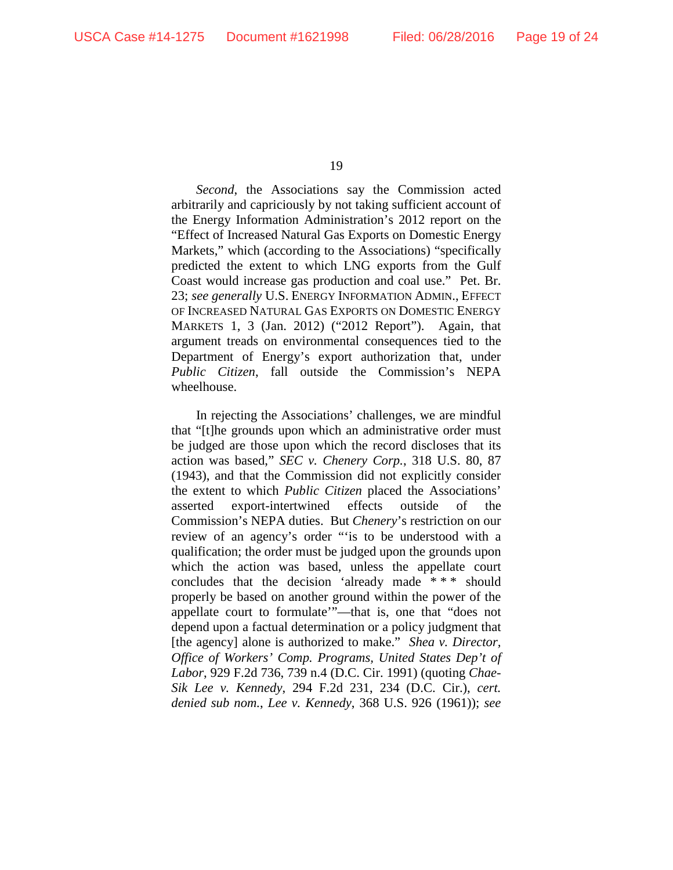*Second*, the Associations say the Commission acted arbitrarily and capriciously by not taking sufficient account of the Energy Information Administration's 2012 report on the "Effect of Increased Natural Gas Exports on Domestic Energy Markets," which (according to the Associations) "specifically predicted the extent to which LNG exports from the Gulf Coast would increase gas production and coal use." Pet. Br. 23; *see generally* U.S. ENERGY INFORMATION ADMIN., EFFECT OF INCREASED NATURAL GAS EXPORTS ON DOMESTIC ENERGY MARKETS 1, 3 (Jan. 2012) ("2012 Report"). Again, that argument treads on environmental consequences tied to the Department of Energy's export authorization that, under *Public Citizen*, fall outside the Commission's NEPA wheelhouse.

In rejecting the Associations' challenges, we are mindful that "[t]he grounds upon which an administrative order must be judged are those upon which the record discloses that its action was based," *SEC v. Chenery Corp.*, 318 U.S. 80, 87 (1943), and that the Commission did not explicitly consider the extent to which *Public Citizen* placed the Associations' asserted export-intertwined effects outside of the Commission's NEPA duties. But *Chenery*'s restriction on our review of an agency's order "'is to be understood with a qualification; the order must be judged upon the grounds upon which the action was based, unless the appellate court concludes that the decision 'already made \* \* \* should properly be based on another ground within the power of the appellate court to formulate'"—that is, one that "does not depend upon a factual determination or a policy judgment that [the agency] alone is authorized to make." *Shea v. Director, Office of Workers' Comp. Programs, United States Dep't of Labor*, 929 F.2d 736, 739 n.4 (D.C. Cir. 1991) (quoting *Chae-Sik Lee v. Kennedy*, 294 F.2d 231, 234 (D.C. Cir.), *cert. denied sub nom.*, *Lee v. Kennedy*, 368 U.S. 926 (1961)); *see*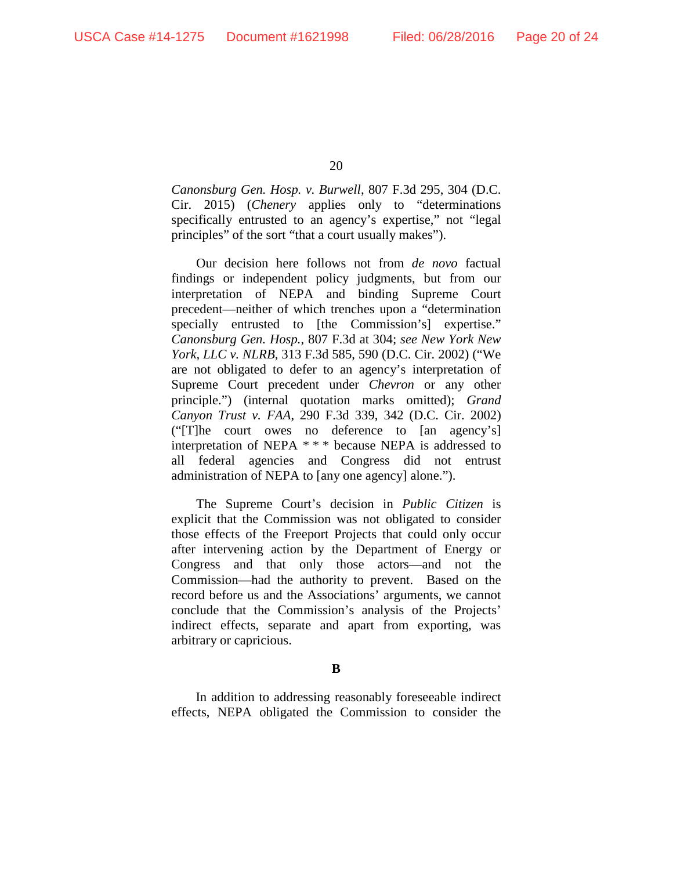*Canonsburg Gen. Hosp. v. Burwell*, 807 F.3d 295, 304 (D.C. Cir. 2015) (*Chenery* applies only to "determinations specifically entrusted to an agency's expertise," not "legal principles" of the sort "that a court usually makes").

Our decision here follows not from *de novo* factual findings or independent policy judgments, but from our interpretation of NEPA and binding Supreme Court precedent—neither of which trenches upon a "determination specially entrusted to [the Commission's] expertise." *Canonsburg Gen. Hosp.*, 807 F.3d at 304; *see New York New York, LLC v. NLRB*, 313 F.3d 585, 590 (D.C. Cir. 2002) ("We are not obligated to defer to an agency's interpretation of Supreme Court precedent under *Chevron* or any other principle.") (internal quotation marks omitted); *Grand Canyon Trust v. FAA*, 290 F.3d 339, 342 (D.C. Cir. 2002) ("[T]he court owes no deference to [an agency's] interpretation of NEPA \* \* \* because NEPA is addressed to all federal agencies and Congress did not entrust administration of NEPA to [any one agency] alone.").

The Supreme Court's decision in *Public Citizen* is explicit that the Commission was not obligated to consider those effects of the Freeport Projects that could only occur after intervening action by the Department of Energy or Congress and that only those actors—and not the Commission—had the authority to prevent. Based on the record before us and the Associations' arguments, we cannot conclude that the Commission's analysis of the Projects' indirect effects, separate and apart from exporting, was arbitrary or capricious.

**B**

In addition to addressing reasonably foreseeable indirect effects, NEPA obligated the Commission to consider the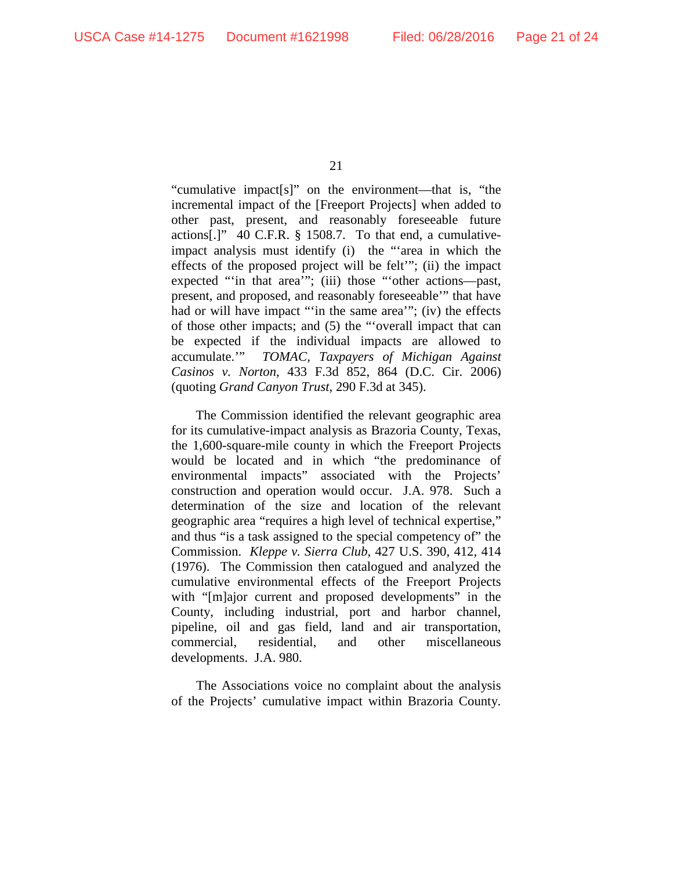"cumulative impact[s]" on the environment—that is, "the incremental impact of the [Freeport Projects] when added to other past, present, and reasonably foreseeable future actions[.]" 40 C.F.R. § 1508.7. To that end, a cumulativeimpact analysis must identify (i) the "'area in which the effects of the proposed project will be felt'"; (ii) the impact expected "'in that area'"; (iii) those "'other actions—past, present, and proposed, and reasonably foreseeable'" that have had or will have impact ""in the same area""; (iv) the effects of those other impacts; and (5) the "'overall impact that can be expected if the individual impacts are allowed to accumulate.'" *TOMAC, Taxpayers of Michigan Against Casinos v. Norton*, 433 F.3d 852, 864 (D.C. Cir. 2006) (quoting *Grand Canyon Trust*, 290 F.3d at 345).

The Commission identified the relevant geographic area for its cumulative-impact analysis as Brazoria County, Texas, the 1,600-square-mile county in which the Freeport Projects would be located and in which "the predominance of environmental impacts" associated with the Projects' construction and operation would occur. J.A. 978. Such a determination of the size and location of the relevant geographic area "requires a high level of technical expertise," and thus "is a task assigned to the special competency of" the Commission. *Kleppe v. Sierra Club*, 427 U.S. 390, 412, 414 (1976). The Commission then catalogued and analyzed the cumulative environmental effects of the Freeport Projects with "[m]ajor current and proposed developments" in the County, including industrial, port and harbor channel, pipeline, oil and gas field, land and air transportation, commercial, residential, and other miscellaneous developments. J.A. 980.

The Associations voice no complaint about the analysis of the Projects' cumulative impact within Brazoria County.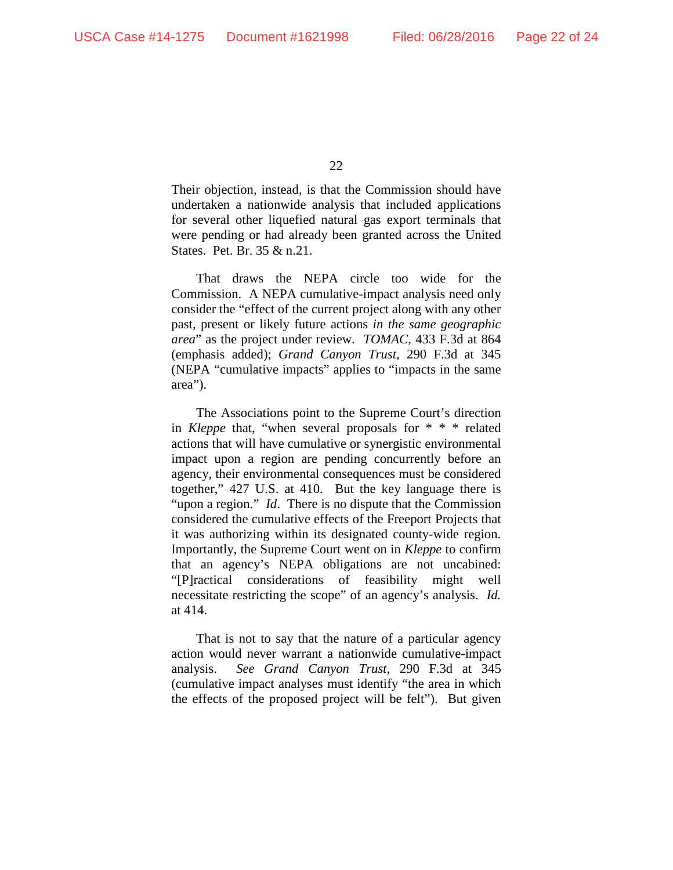Their objection, instead, is that the Commission should have undertaken a nationwide analysis that included applications for several other liquefied natural gas export terminals that were pending or had already been granted across the United States. Pet. Br. 35 & n.21.

That draws the NEPA circle too wide for the Commission. A NEPA cumulative-impact analysis need only consider the "effect of the current project along with any other past, present or likely future actions *in the same geographic area*" as the project under review. *TOMAC*, 433 F.3d at 864 (emphasis added); *Grand Canyon Trust*, 290 F.3d at 345 (NEPA "cumulative impacts" applies to "impacts in the same area").

The Associations point to the Supreme Court's direction in *Kleppe* that, "when several proposals for \* \* \* related actions that will have cumulative or synergistic environmental impact upon a region are pending concurrently before an agency, their environmental consequences must be considered together," 427 U.S. at 410. But the key language there is "upon a region." *Id*. There is no dispute that the Commission considered the cumulative effects of the Freeport Projects that it was authorizing within its designated county-wide region. Importantly, the Supreme Court went on in *Kleppe* to confirm that an agency's NEPA obligations are not uncabined: "[P]ractical considerations of feasibility might well necessitate restricting the scope" of an agency's analysis. *Id.* at 414.

That is not to say that the nature of a particular agency action would never warrant a nationwide cumulative-impact analysis. *See Grand Canyon Trust*, 290 F.3d at 345 (cumulative impact analyses must identify "the area in which the effects of the proposed project will be felt"). But given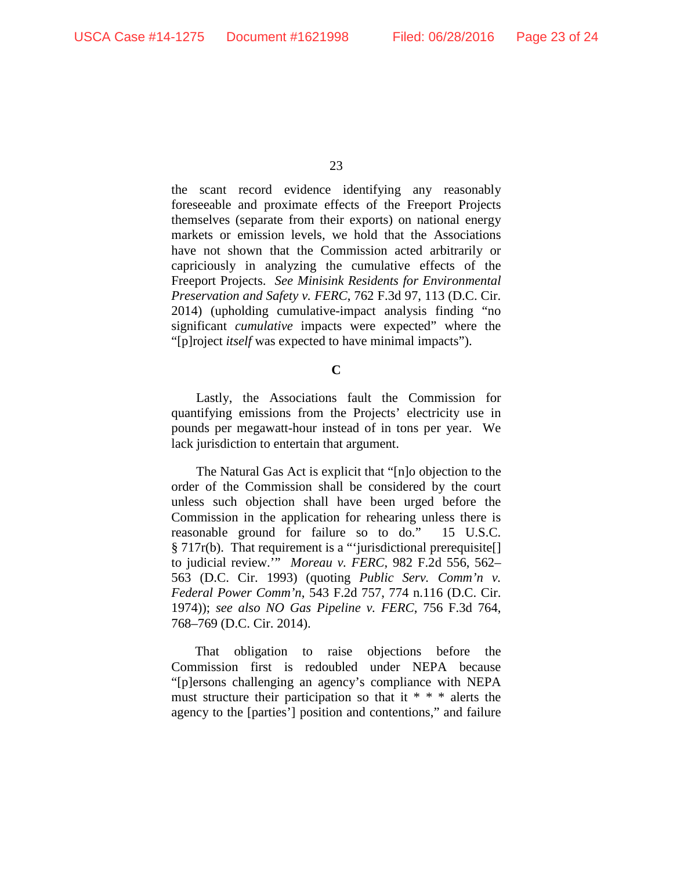the scant record evidence identifying any reasonably foreseeable and proximate effects of the Freeport Projects themselves (separate from their exports) on national energy markets or emission levels, we hold that the Associations have not shown that the Commission acted arbitrarily or capriciously in analyzing the cumulative effects of the Freeport Projects. *See Minisink Residents for Environmental Preservation and Safety v. FERC*, 762 F.3d 97, 113 (D.C. Cir. 2014) (upholding cumulative-impact analysis finding "no significant *cumulative* impacts were expected" where the "[p]roject *itself* was expected to have minimal impacts").

**C**

Lastly, the Associations fault the Commission for quantifying emissions from the Projects' electricity use in pounds per megawatt-hour instead of in tons per year. We lack jurisdiction to entertain that argument.

The Natural Gas Act is explicit that "[n]o objection to the order of the Commission shall be considered by the court unless such objection shall have been urged before the Commission in the application for rehearing unless there is reasonable ground for failure so to do." 15 U.S.C. § 717r(b). That requirement is a "'jurisdictional prerequisite[] to judicial review.'" *Moreau v. FERC*, 982 F.2d 556, 562– 563 (D.C. Cir. 1993) (quoting *Public Serv. Comm'n v. Federal Power Comm'n*, 543 F.2d 757, 774 n.116 (D.C. Cir. 1974)); *see also NO Gas Pipeline v. FERC*, 756 F.3d 764, 768–769 (D.C. Cir. 2014).

That obligation to raise objections before the Commission first is redoubled under NEPA because "[p]ersons challenging an agency's compliance with NEPA must structure their participation so that it  $* * *$  alerts the agency to the [parties'] position and contentions," and failure